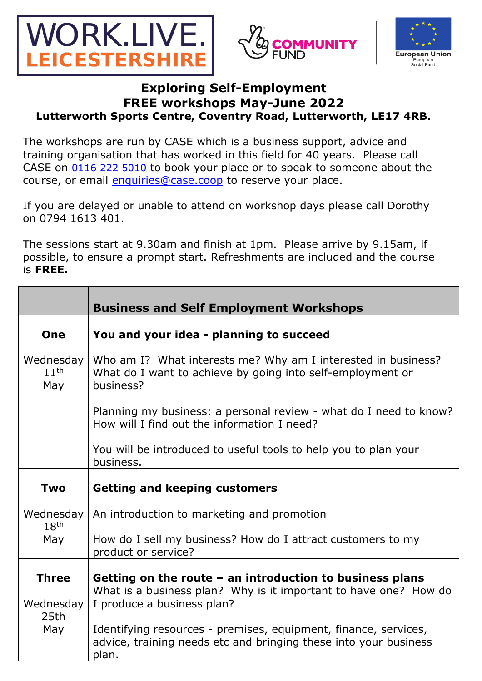





## **Exploring Self-Employment FREE workshops May-June 2022 Lutterworth Sports Centre, Coventry Road, Lutterworth, LE17 4RB.**

The workshops are run by CASE which is a business support, advice and training organisation that has worked in this field for 40 years. Please call CASE on 0116 222 5010 to book your place or to speak to someone about the course, or email *enquiries@case.coop* to reserve your place.

If you are delayed or unable to attend on workshop days please call Dorothy on 0794 1613 401.

The sessions start at 9.30am and finish at 1pm. Please arrive by 9.15am, if possible, to ensure a prompt start. Refreshments are included and the course is **FREE.**

|                                      | <b>Business and Self Employment Workshops</b>                                                                                                                |
|--------------------------------------|--------------------------------------------------------------------------------------------------------------------------------------------------------------|
| One                                  | You and your idea - planning to succeed                                                                                                                      |
| Wednesday<br>11 <sup>th</sup><br>May | Who am I? What interests me? Why am I interested in business?<br>What do I want to achieve by going into self-employment or<br>business?                     |
|                                      | Planning my business: a personal review - what do I need to know?<br>How will I find out the information I need?                                             |
|                                      | You will be introduced to useful tools to help you to plan your<br>business.                                                                                 |
| Two                                  | <b>Getting and keeping customers</b>                                                                                                                         |
| Wednesday<br>18 <sup>th</sup>        | An introduction to marketing and promotion                                                                                                                   |
| May                                  | How do I sell my business? How do I attract customers to my<br>product or service?                                                                           |
| <b>Three</b><br>Wednesday<br>25th    | Getting on the route $-$ an introduction to business plans<br>What is a business plan? Why is it important to have one? How do<br>I produce a business plan? |
| May                                  | Identifying resources - premises, equipment, finance, services,<br>advice, training needs etc and bringing these into your business<br>plan.                 |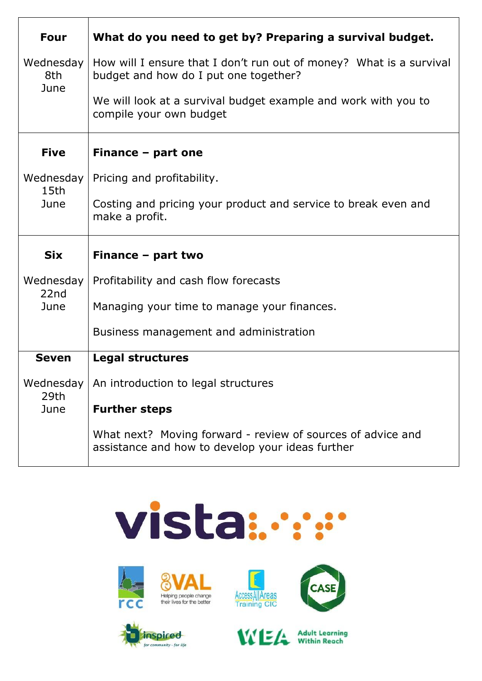| <b>Four</b>               | What do you need to get by? Preparing a survival budget.                                                        |
|---------------------------|-----------------------------------------------------------------------------------------------------------------|
| Wednesday<br>8th<br>June  | How will I ensure that I don't run out of money? What is a survival<br>budget and how do I put one together?    |
|                           | We will look at a survival budget example and work with you to<br>compile your own budget                       |
| <b>Five</b>               | Finance - part one                                                                                              |
| Wednesday<br>15th<br>June | Pricing and profitability.                                                                                      |
|                           | Costing and pricing your product and service to break even and<br>make a profit.                                |
| <b>Six</b>                | Finance - part two                                                                                              |
| Wednesday<br>22nd<br>June | Profitability and cash flow forecasts                                                                           |
|                           | Managing your time to manage your finances.                                                                     |
|                           | Business management and administration                                                                          |
| <b>Seven</b>              | <b>Legal structures</b>                                                                                         |
| 29th                      | Wednesday   An introduction to legal structures                                                                 |
| June                      | <b>Further steps</b>                                                                                            |
|                           | What next? Moving forward - review of sources of advice and<br>assistance and how to develop your ideas further |

## vista :.....



**D**inspired

for community - for life